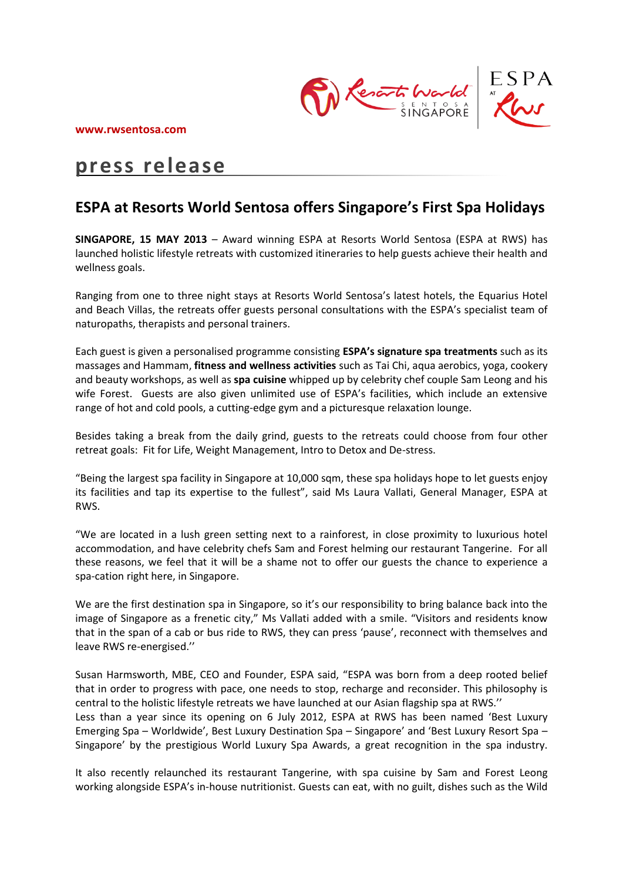

# **press release**

## **ESPA at Resorts World Sentosa offers Singapore's First Spa Holidays**

**SINGAPORE, 15 MAY 2013** – Award winning ESPA at Resorts World Sentosa (ESPA at RWS) has launched holistic lifestyle retreats with customized itineraries to help guests achieve their health and wellness goals.

Ranging from one to three night stays at Resorts World Sentosa's latest hotels, the Equarius Hotel and Beach Villas, the retreats offer guests personal consultations with the ESPA's specialist team of naturopaths, therapists and personal trainers.

Each guest is given a personalised programme consisting **ESPA's signature spa treatments** such as its massages and Hammam, **fitness and wellness activities** such as Tai Chi, aqua aerobics, yoga, cookery and beauty workshops, as well as **spa cuisine** whipped up by celebrity chef couple Sam Leong and his wife Forest. Guests are also given unlimited use of ESPA's facilities, which include an extensive range of hot and cold pools, a cutting-edge gym and a picturesque relaxation lounge.

Besides taking a break from the daily grind, guests to the retreats could choose from four other retreat goals: Fit for Life, Weight Management, Intro to Detox and De-stress.

"Being the largest spa facility in Singapore at 10,000 sqm, these spa holidays hope to let guests enjoy its facilities and tap its expertise to the fullest", said Ms Laura Vallati, General Manager, ESPA at RWS.

"We are located in a lush green setting next to a rainforest, in close proximity to luxurious hotel accommodation, and have celebrity chefs Sam and Forest helming our restaurant Tangerine. For all these reasons, we feel that it will be a shame not to offer our guests the chance to experience a spa-cation right here, in Singapore.

We are the first destination spa in Singapore, so it's our responsibility to bring balance back into the image of Singapore as a frenetic city," Ms Vallati added with a smile. "Visitors and residents know that in the span of a cab or bus ride to RWS, they can press 'pause', reconnect with themselves and leave RWS re-energised.''

Susan Harmsworth, MBE, CEO and Founder, ESPA said, "ESPA was born from a deep rooted belief that in order to progress with pace, one needs to stop, recharge and reconsider. This philosophy is central to the holistic lifestyle retreats we have launched at our Asian flagship spa at RWS.''

Less than a year since its opening on 6 July 2012, ESPA at RWS has been named 'Best Luxury Emerging Spa – Worldwide', Best Luxury Destination Spa – Singapore' and 'Best Luxury Resort Spa – Singapore' by the prestigious World Luxury Spa Awards, a great recognition in the spa industry.

It also recently relaunched its restaurant Tangerine, with spa cuisine by Sam and Forest Leong working alongside ESPA's in-house nutritionist. Guests can eat, with no guilt, dishes such as the Wild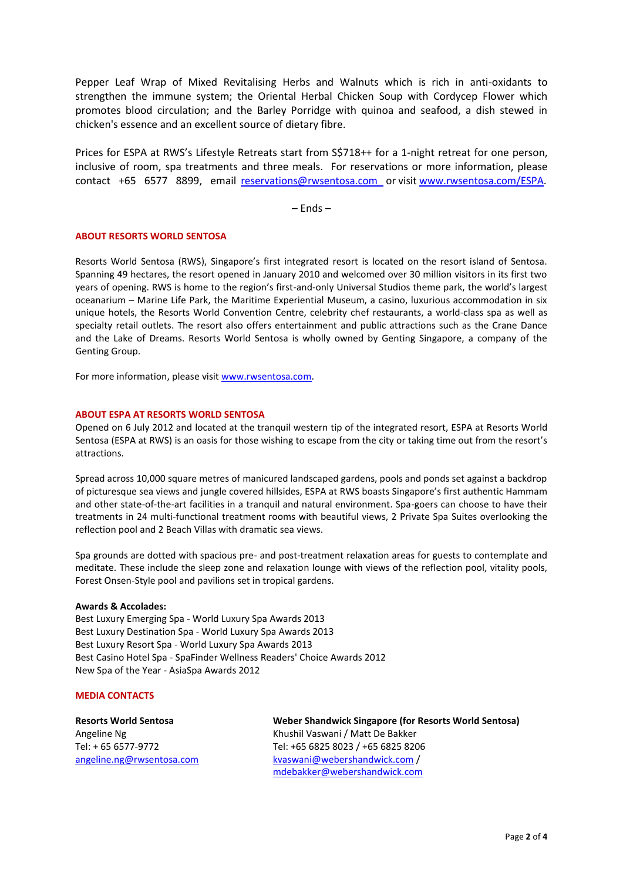Pepper Leaf Wrap of Mixed Revitalising Herbs and Walnuts which is rich in anti-oxidants to strengthen the immune system; the Oriental Herbal Chicken Soup with Cordycep Flower which promotes blood circulation; and the Barley Porridge with quinoa and seafood, a dish stewed in chicken's essence and an excellent source of dietary fibre.

Prices for ESPA at RWS's Lifestyle Retreats start from S\$718++ for a 1-night retreat for one person, inclusive of room, spa treatments and three meals. For reservations or more information, please contact +65 6577 8899, email [reservations@rwsentosa.com](mailto:reservations@rwsentosa.com) or visit [www.rwsentosa.com/ESPA.](http://www.rwsentosa.com/ESPA)

– Ends –

#### **ABOUT RESORTS WORLD SENTOSA**

Resorts World Sentosa (RWS), Singapore's first integrated resort is located on the resort island of Sentosa. Spanning 49 hectares, the resort opened in January 2010 and welcomed over 30 million visitors in its first two years of opening. RWS is home to the region's first-and-only Universal Studios theme park, the world's largest oceanarium – Marine Life Park, the Maritime Experiential Museum, a casino, luxurious accommodation in six unique hotels, the Resorts World Convention Centre, celebrity chef restaurants, a world-class spa as well as specialty retail outlets. The resort also offers entertainment and public attractions such as the Crane Dance and the Lake of Dreams. Resorts World Sentosa is wholly owned by Genting Singapore, a company of the Genting Group.

For more information, please visit [www.rwsentosa.com.](http://www.rwsentosa.com/)

#### **ABOUT ESPA AT RESORTS WORLD SENTOSA**

Opened on 6 July 2012 and located at the tranquil western tip of the integrated resort, ESPA at Resorts World Sentosa (ESPA at RWS) is an oasis for those wishing to escape from the city or taking time out from the resort's attractions.

Spread across 10,000 square metres of manicured landscaped gardens, pools and ponds set against a backdrop of picturesque sea views and jungle covered hillsides, ESPA at RWS boasts Singapore's first authentic Hammam and other state-of-the-art facilities in a tranquil and natural environment. Spa-goers can choose to have their treatments in 24 multi-functional treatment rooms with beautiful views, 2 Private Spa Suites overlooking the reflection pool and 2 Beach Villas with dramatic sea views.

Spa grounds are dotted with spacious pre- and post-treatment relaxation areas for guests to contemplate and meditate. These include the sleep zone and relaxation lounge with views of the reflection pool, vitality pools, Forest Onsen-Style pool and pavilions set in tropical gardens.

#### **Awards & Accolades:**

Best Luxury Emerging Spa - World Luxury Spa Awards 2013 Best Luxury Destination Spa - World Luxury Spa Awards 2013 Best Luxury Resort Spa - World Luxury Spa Awards 2013 Best Casino Hotel Spa - SpaFinder Wellness Readers' Choice Awards 2012 New Spa of the Year - AsiaSpa Awards 2012

#### **MEDIA CONTACTS**

**Resorts World Sentosa** Angeline Ng Tel: + 65 6577-9772 [angeline.ng@rwsentosa.com](mailto:clement.xjng@rwsentosa.com) **Weber Shandwick Singapore (for Resorts World Sentosa)**  Khushil Vaswani / Matt De Bakker Tel: +65 6825 8023 / +65 6825 8206 [kvaswani@webershandwick.com](mailto:kvaswani@webershandwick.com) / [mdebakker@webershandwick.com](mailto:mdebakker@webershandwick.com)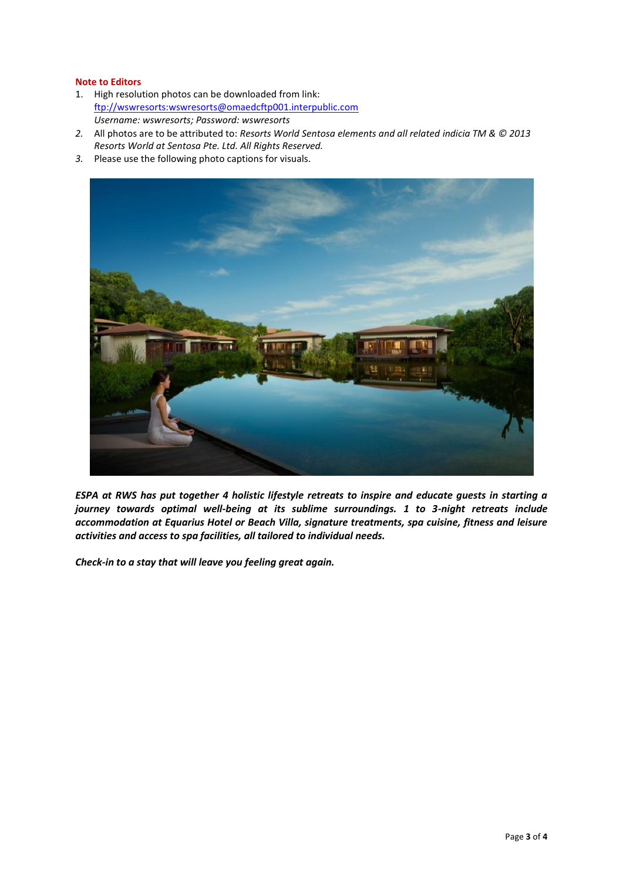### **Note to Editors**

- 1. High resolution photos can be downloaded from link: [ftp://wswresorts:wswresorts@omaedcftp001.interpublic.com](ftp://wswresorts:wswresorts@omaedcftp001.interpublic.com/) *Username: wswresorts; Password: wswresorts*
- *2.* All photos are to be attributed to: *Resorts World Sentosa elements and all related indicia TM & © 2013 Resorts World at Sentosa Pte. Ltd. All Rights Reserved.*
- *3.* Please use the following photo captions for visuals.



*ESPA at RWS has put together 4 holistic lifestyle retreats to inspire and educate guests in starting a journey towards optimal well-being at its sublime surroundings. 1 to 3-night retreats include accommodation at Equarius Hotel or Beach Villa, signature treatments, spa cuisine, fitness and leisure activities and access to spa facilities, all tailored to individual needs.* 

*Check-in to a stay that will leave you feeling great again.*